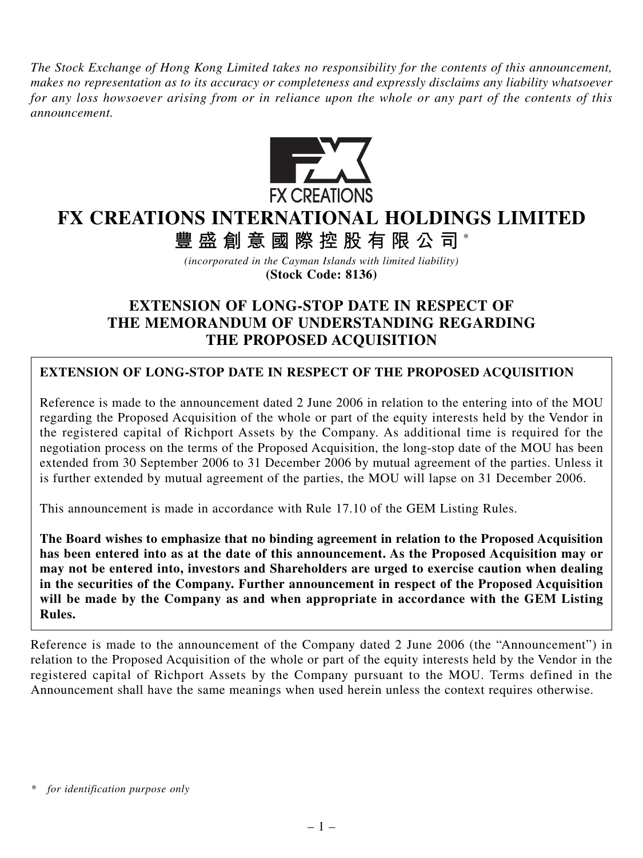*The Stock Exchange of Hong Kong Limited takes no responsibility for the contents of this announcement, makes no representation as to its accuracy or completeness and expressly disclaims any liability whatsoever for any loss howsoever arising from or in reliance upon the whole or any part of the contents of this announcement.*



## **FX CREATIONS INTERNATIONAL HOLDINGS LIMITED**

**豐盛創意國際控股有限公司** \*

*(incorporated in the Cayman Islands with limited liability)* **(Stock Code: 8136)**

## **EXTENSION OF LONG-STOP DATE IN RESPECT OF THE MEMORANDUM OF UNDERSTANDING REGARDING THE PROPOSED ACQUISITION**

## **EXTENSION OF LONG-STOP DATE IN RESPECT OF THE PROPOSED ACQUISITION**

Reference is made to the announcement dated 2 June 2006 in relation to the entering into of the MOU regarding the Proposed Acquisition of the whole or part of the equity interests held by the Vendor in the registered capital of Richport Assets by the Company. As additional time is required for the negotiation process on the terms of the Proposed Acquisition, the long-stop date of the MOU has been extended from 30 September 2006 to 31 December 2006 by mutual agreement of the parties. Unless it is further extended by mutual agreement of the parties, the MOU will lapse on 31 December 2006.

This announcement is made in accordance with Rule 17.10 of the GEM Listing Rules.

**The Board wishes to emphasize that no binding agreement in relation to the Proposed Acquisition has been entered into as at the date of this announcement. As the Proposed Acquisition may or may not be entered into, investors and Shareholders are urged to exercise caution when dealing in the securities of the Company. Further announcement in respect of the Proposed Acquisition will be made by the Company as and when appropriate in accordance with the GEM Listing Rules.**

Reference is made to the announcement of the Company dated 2 June 2006 (the "Announcement") in relation to the Proposed Acquisition of the whole or part of the equity interests held by the Vendor in the registered capital of Richport Assets by the Company pursuant to the MOU. Terms defined in the Announcement shall have the same meanings when used herein unless the context requires otherwise.

*<sup>\*</sup> for identification purpose only*